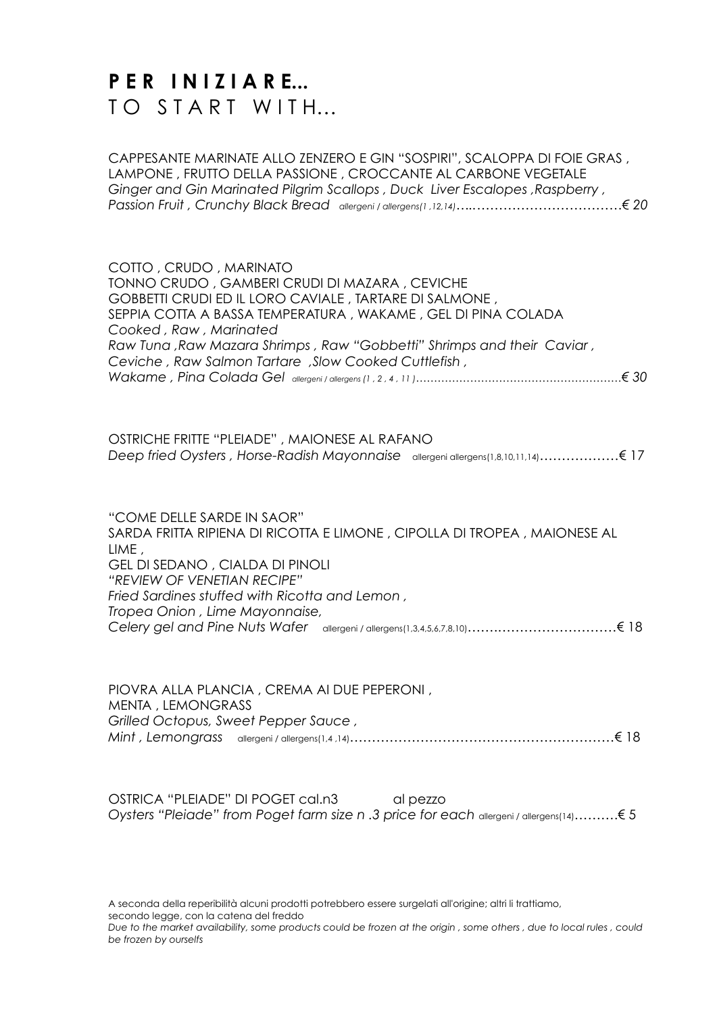## **PER INIZIARE...** TO START WITH...

CAPPESANTE MARINATE ALLO ZENZERO E GIN "SOSPIRI", SCALOPPA DI FOIE GRAS , LAMPONE , FRUTTO DELLA PASSIONE , CROCCANTE AL CARBONE VEGETALE *Ginger and Gin Marinated Pilgrim Scallops , Duck Liver Escalopes ,Raspberry , Passion Fruit , Crunchy Black Bread allergeni / allergens(1 ,12,14)…..……………………………€ 20*

| COTTO, CRUDO, MARINATO<br>TONNO CRUDO, GAMBERI CRUDI DI MAZARA, CEVICHE  |
|--------------------------------------------------------------------------|
| GOBBETTI CRUDI ED IL LORO CAVIALE, TARTARE DI SALMONE,                   |
| SEPPIA COTTA A BASSA TEMPERATURA, WAKAME, GEL DI PINA COLADA             |
| Cooked, Raw, Marinated                                                   |
| Raw Tuna, Raw Mazara Shrimps, Raw "Gobbetti" Shrimps and their Caviar,   |
| Ceviche, Raw Salmon Tartare, Slow Cooked Cuttlefish,                     |
|                                                                          |
|                                                                          |
| OSTRICHE FRITTE "PLEIADE", MAIONESE AL RAFANO                            |
| "COME DELLE SARDE IN SAOR"                                               |
| SARDA FRITTA RIPIENA DI RICOTTA E LIMONE, CIPOLLA DI TROPEA, MAIONESE AL |
| LIME,                                                                    |
| GEL DI SEDANO, CIALDA DI PINOLI                                          |
| "REVIEW OF VENETIAN RECIPE"                                              |
| Fried Sardines stuffed with Ricotta and Lemon,                           |
| Tropea Onion, Lime Mayonnaise,                                           |
|                                                                          |

|                                      | PIOVRA ALLA PLANCIA, CREMA AI DUE PEPERONI, |  |
|--------------------------------------|---------------------------------------------|--|
| MENTA , LEMONGRASS                   |                                             |  |
| Grilled Octopus, Sweet Pepper Sauce, |                                             |  |
|                                      |                                             |  |

OSTRICA "PLEIADE" DI POGET cal.n3 al pezzo *Oysters "Pleiade" from Poget farm size n .3 price for each* allergeni / allergens(14)……….€ 5

A seconda della reperibilità alcuni prodotti potrebbero essere surgelati all'origine; altri li trattiamo, secondo legge, con la catena del freddo

*Due to the market availability, some products could be frozen at the origin , some others , due to local rules , could be frozen by ourselfs*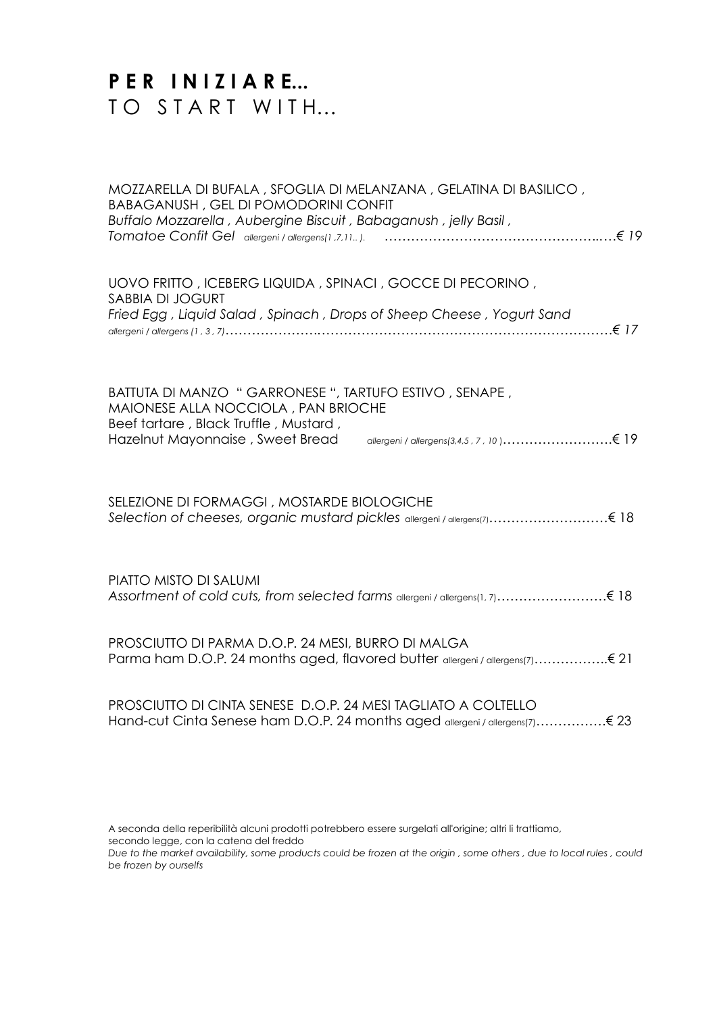# **P E R I N I Z I A R E...** TO START WITH...

| MOZZARELLA DI BUFALA, SFOGLIA DI MELANZANA, GELATINA DI BASILICO,<br><b>BABAGANUSH, GEL DI POMODORINI CONFIT</b><br>Buffalo Mozzarella, Aubergine Biscuit, Babaganush, jelly Basil,                                    |
|------------------------------------------------------------------------------------------------------------------------------------------------------------------------------------------------------------------------|
| UOVO FRITTO, ICEBERG LIQUIDA, SPINACI, GOCCE DI PECORINO,<br>SABBIA DI JOGURT<br>Fried Egg, Liquid Salad, Spinach, Drops of Sheep Cheese, Yogurt Sand                                                                  |
| BATTUTA DI MANZO " GARRONESE ", TARTUFO ESTIVO, SENAPE,<br>MAIONESE ALLA NOCCIOLA, PAN BRIOCHE<br>Beef tartare, Black Truffle, Mustard,<br>allergeni / allergens(3,4,5, 7, 10)€ 19<br>Hazelnut Mayonnaise, Sweet Bread |
| SELEZIONE DI FORMAGGI, MOSTARDE BIOLOGICHE                                                                                                                                                                             |
| <b>PIATTO MISTO DI SALUMI</b>                                                                                                                                                                                          |
| PROSCIUTTO DI PARMA D.O.P. 24 MESI, BURRO DI MALGA<br>Parma ham D.O.P. 24 months aged, flavored butter allergeni / allergens(7) € 21                                                                                   |
| PROSCIUTTO DI CINTA SENESE D.O.P. 24 MESI TAGLIATO A COLTELLO                                                                                                                                                          |

A seconda della reperibilità alcuni prodotti potrebbero essere surgelati all'origine; altri li trattiamo, secondo legge, con la catena del freddo

*Due to the market availability, some products could be frozen at the origin , some others , due to local rules , could be frozen by ourselfs*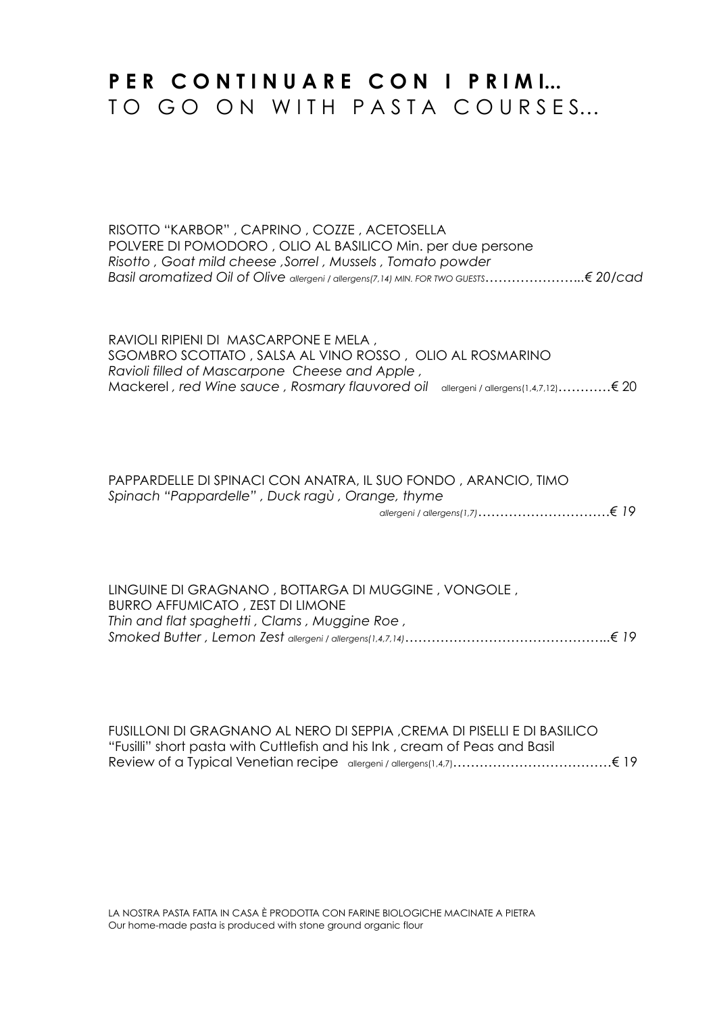## PER CONTINUARE CON I PRIMI... TO GO ON WITH PASTA COURSES...

RISOTTO "KARBOR" , CAPRINO , COZZE , ACETOSELLA POLVERE DI POMODORO , OLIO AL BASILICO Min. per due persone *Risotto , Goat mild cheese ,Sorrel , Mussels , Tomato powder Basil aromatized Oil of Olive allergeni / allergens(7,14) MIN. FOR TWO GUESTS…………………..€ 20/cad*

RAVIOLI RIPIENI DI MASCARPONE E MELA , SGOMBRO SCOTTATO , SALSA AL VINO ROSSO , OLIO AL ROSMARINO *Ravioli filled of Mascarpone Cheese and Apple ,* Mackerel *, red Wine sauce , Rosmary flauvored oil* allergeni / allergens(1,4,7,12)…………€ 20

#### PAPPARDELLE DI SPINACI CON ANATRA, IL SUO FONDO , ARANCIO, TIMO *Spinach "Pappardelle" , Duck ragù , Orange, thyme*

 *allergeni / allergens(1,7)…………………………€ 19*

LINGUINE DI GRAGNANO , BOTTARGA DI MUGGINE , VONGOLE , BURRO AFFUMICATO , ZEST DI LIMONE *Thin and flat spaghetti , Clams , Muggine Roe , Smoked Butter , Lemon Zest allergeni / allergens(1,4,7,14)………………………………………..€ 19*

FUSILLONI DI GRAGNANO AL NERO DI SEPPIA ,CREMA DI PISELLI E DI BASILICO "Fusilli" short pasta with Cuttlefish and his Ink , cream of Peas and Basil Review of a Typical Venetian recipe allergeni / allergens(1,4,7)………………………………€ 19

LA NOSTRA PASTA FATTA IN CASA È PRODOTTA CON FARINE BIOLOGICHE MACINATE A PIETRA Our home-made pasta is produced with stone ground organic flour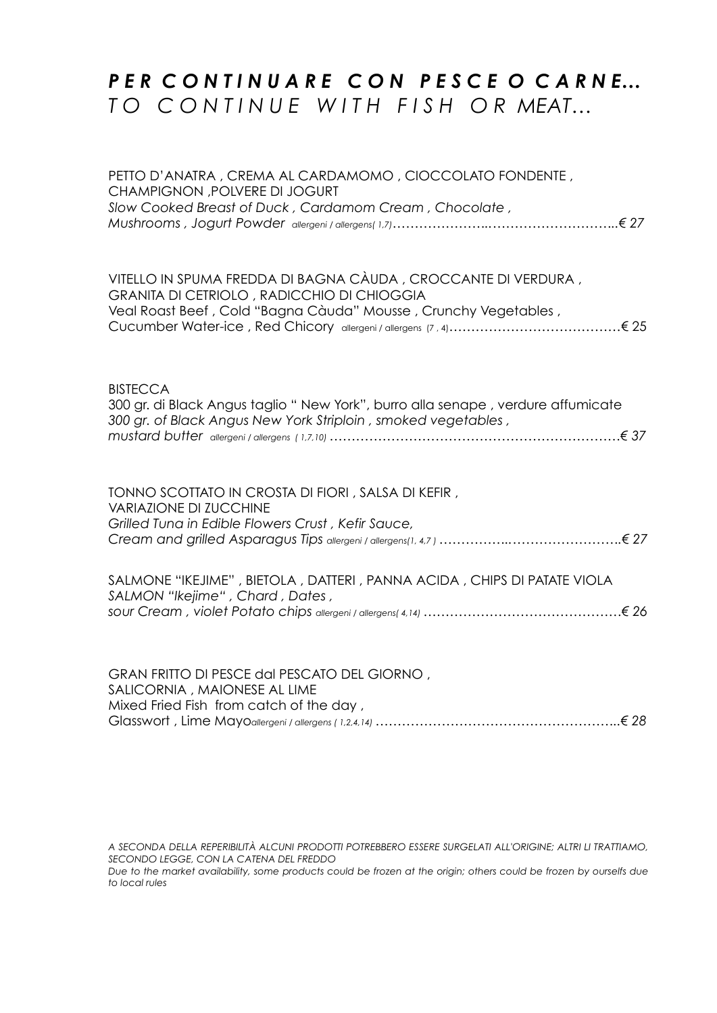#### *P E R C O N T I N U A R E C O N P E S C E O C A R N E… T O C O N T I N U E W I T H F I S H O R MEAT…*

PETTO D'ANATRA , CREMA AL CARDAMOMO , CIOCCOLATO FONDENTE , CHAMPIGNON ,POLVERE DI JOGURT *Slow Cooked Breast of Duck , Cardamom Cream , Chocolate , Mushrooms , Jogurt Powder allergeni / allergens( 1,7)…………………..………………………..€ 27* VITELLO IN SPUMA FREDDA DI BAGNA CÀUDA , CROCCANTE DI VERDURA , GRANITA DI CETRIOLO , RADICCHIO DI CHIOGGIA Veal Roast Beef , Cold "Bagna Càuda" Mousse , Crunchy Vegetables , Cucumber Water-ice , Red Chicory allergeni / allergens (7 , 4)…………………………………€ 25 **BISTECCA** 300 gr. di Black Angus taglio " New York", burro alla senape , verdure affumicate *300 gr. of Black Angus New York Striploin , smoked vegetables , mustard butter allergeni / allergens ( 1,7,10) …………………………………………………………€ 37* TONNO SCOTTATO IN CROSTA DI FIORI , SALSA DI KEFIR , VARIAZIONE DI ZUCCHINE *Grilled Tuna in Edible Flowers Crust , Kefir Sauce, Cream and grilled Asparagus Tips allergeni / allergens(1, 4,7 ) ……………..…………………….€ 27* SALMONE "IKEJIME" , BIETOLA , DATTERI , PANNA ACIDA , CHIPS DI PATATE VIOLA *SALMON "Ikejime" , Chard , Dates , sour Cream , violet Potato chips allergeni / allergens( 4,14) ………………………………………€ 26* GRAN FRITTO DI PESCE dal PESCATO DEL GIORNO , SALICORNIA , MAIONESE AL LIME

Mixed Fried Fish from catch of the day , Glasswort , Lime Mayo*allergeni / allergens ( 1,2,4,14) ………………………………………………..€ 28*

*A SECONDA DELLA REPERIBILITÀ ALCUNI PRODOTTI POTREBBERO ESSERE SURGELATI ALL'ORIGINE; ALTRI LI TRATTIAMO, SECONDO LEGGE, CON LA CATENA DEL FREDDO Due to the market availability, some products could be frozen at the origin; others could be frozen by ourselfs due* 

*to local rules*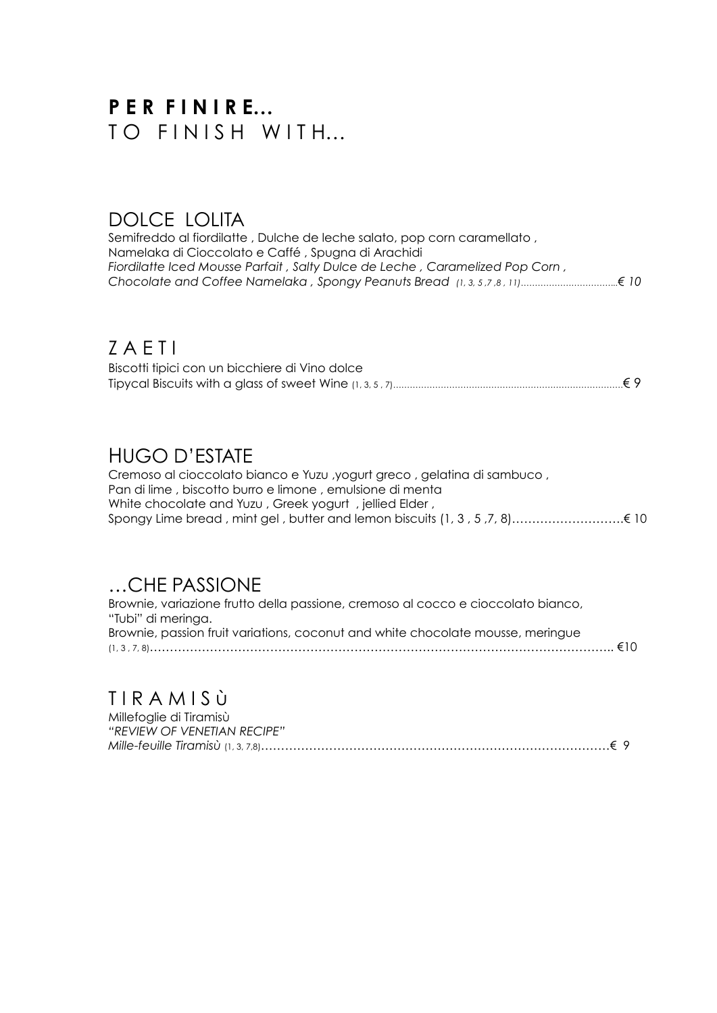# **P E R F I N I R E…**  TO FINISH WITH...

#### DOLCE LOLITA

Semifreddo al fiordilatte , Dulche de leche salato, pop corn caramellato , Namelaka di Cioccolato e Caffé , Spugna di Arachidi *Fiordilatte Iced Mousse Parfait , Salty Dulce de Leche , Caramelized Pop Corn , Chocolate and Coffee Namelaka , Spongy Peanuts Bread (1, 3, 5 ,7 ,8 , 11)……………………………..€ 10*

#### Z A E T I

| Biscotti tipici con un bicchiere di Vino dolce |  |
|------------------------------------------------|--|
|                                                |  |

#### HUGO D'ESTATE

Cremoso al cioccolato bianco e Yuzu ,yogurt greco , gelatina di sambuco , Pan di lime , biscotto burro e limone , emulsione di menta White chocolate and Yuzu , Greek yogurt , jellied Elder , Spongy Lime bread , mint gel , butter and lemon biscuits (1, 3 , 5 ,7, 8)……………………….€ 10

### …CHE PASSIONE

Brownie, variazione frutto della passione, cremoso al cocco e cioccolato bianco, "Tubi" di meringa. Brownie, passion fruit variations, coconut and white chocolate mousse, meringue (1, 3 , 7, 8)…………………………………………………………………………………………………….. €10

### T I R A M I S ù

| Millefoglie di Tiramisù     |  |
|-----------------------------|--|
| "REVIEW OF VENETIAN RECIPE" |  |
|                             |  |